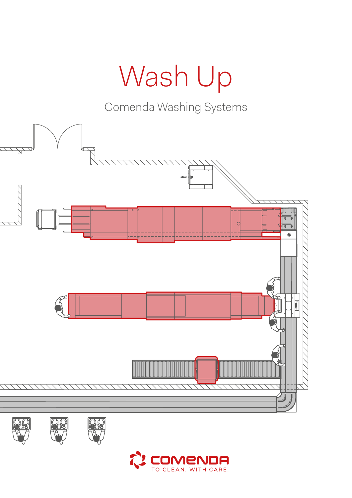# Wash Up

Comenda Washing Systems





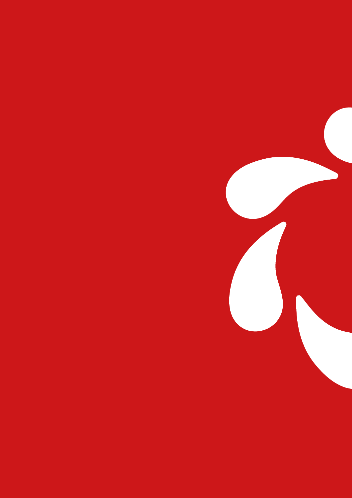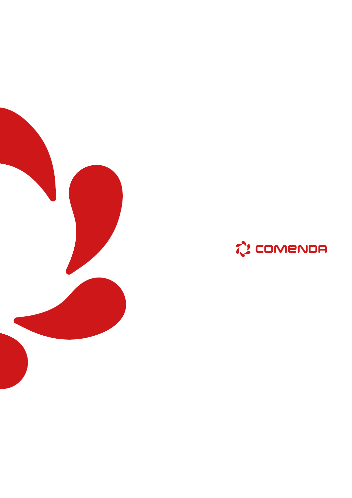

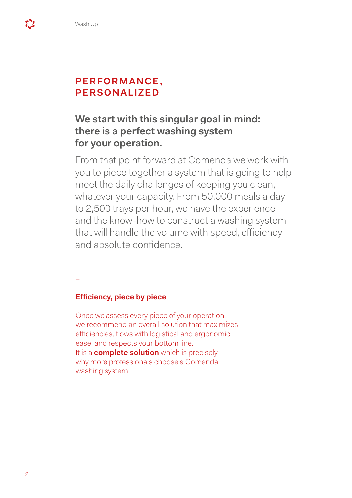# **PERFORMANCE , PERSONALIZED**

# **We start with this singular goal in mind: there is a perfect washing system for your operation.**

From that point forward at Comenda we work with you to piece together a system that is going to help meet the daily challenges of keeping you clean, whatever your capacity. From 50,000 meals a day to 2,500 trays per hour, we have the experience and the know-how to construct a washing system that will handle the volume with speed, efficiency and absolute confidence.

–

#### **Efficiency, piece by piece**

Once we assess every piece of your operation, we recommend an overall solution that maximizes efficiencies, flows with logistical and ergonomic ease, and respects your bottom line. It is a **complete solution** which is precisely why more professionals choose a Comenda washing system.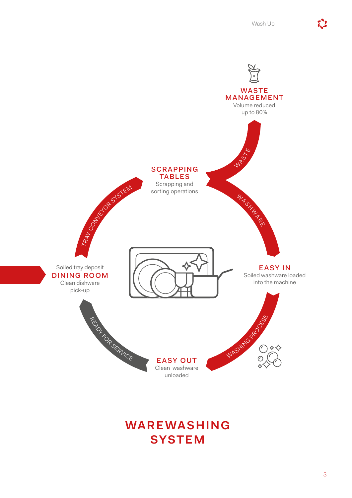$\mathbf{C}$ 



# **WARE WASHING SYSTEM**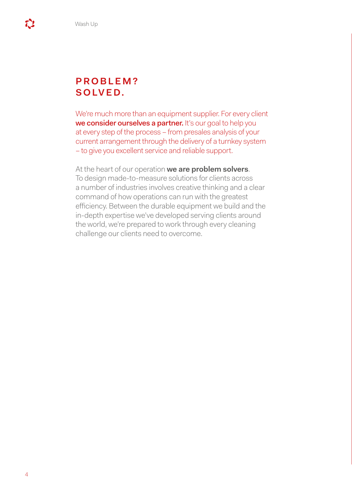# **P R O B L E M ? SOLVED.**

We're much more than an equipment supplier. For every client we consider ourselves a partner. It's our goal to help you at every step of the process – from presales analysis of your current arrangement through the delivery of a turnkey system – to give you excellent service and reliable support.

At the heart of our operation **we are problem solvers**. To design made-to-measure solutions for clients across a number of industries involves creative thinking and a clear command of how operations can run with the greatest efficiency. Between the durable equipment we build and the in-depth expertise we've developed serving clients around the world, we're prepared to work through every cleaning challenge our clients need to overcome.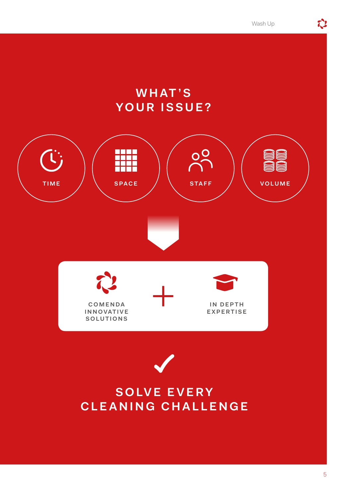$\mathcal{C}$ 

# **WHAT'S YOUR ISSUE?**



# **SOLVE EVERY CLEANING CHALLENGE**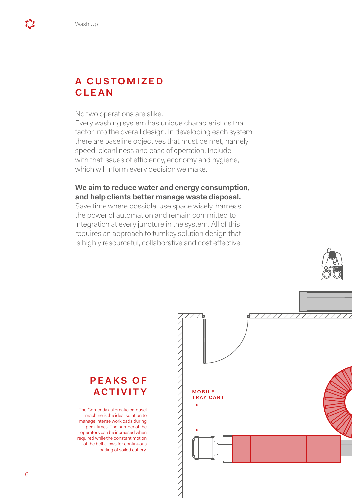# **A C U S T O M I Z E D CLEAN**

No two operations are alike.

Every washing system has unique characteristics that factor into the overall design. In developing each system there are baseline objectives that must be met, namely speed, cleanliness and ease of operation. Include with that issues of efficiency, economy and hygiene, which will inform every decision we make.

#### **We aim to reduce water and energy consumption, and help clients better manage waste disposal.**

Save time where possible, use space wisely, harness the power of automation and remain committed to integration at every juncture in the system. All of this requires an approach to turnkey solution design that is highly resourceful, collaborative and cost effective.

# **PEAKS OF ACTIVITY**

The Comenda automatic carousel machine is the ideal solution to manage intense workloads during peak times. The number of the operators can be increased when required while the constant motion of the belt allows for continuous loading of soiled cutlery.

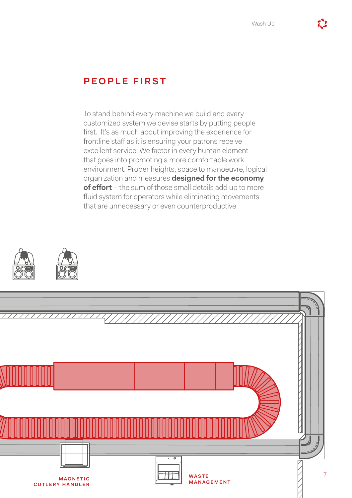# **PEOPLE FIRST**

To stand behind every machine we build and every customized system we devise starts by putting people first. It's as much about improving the experience for frontline staff as it is ensuring your patrons receive excellent service. We factor in every human element that goes into promoting a more comfortable work environment. Proper heights, space to manoeuvre, logical organization and measures **designed for the economy of effort** – the sum of those small details add up to more fluid system for operators while eliminating movements that are unnecessary or even counterproductive.



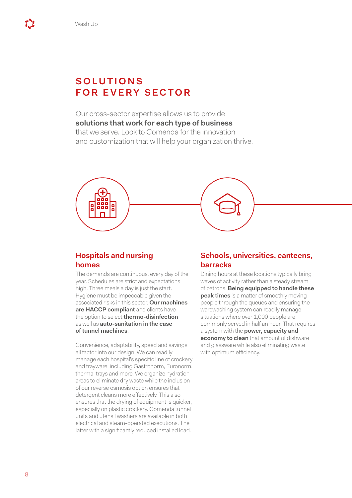# **S O L U T I O N S FOR EVERY SECTOR**

Our cross-sector expertise allows us to provide **solutions that work for each type of business** that we serve. Look to Comenda for the innovation and customization that will help your organization thrive.



#### **Hospitals and nursing homes**

The demands are continuous, every day of the year. Schedules are strict and expectations high. Three meals a day is just the start. Hygiene must be impeccable given the associated risks in this sector. **Our machines are HACCP compliant** and clients have the option to select **thermo-disinfection** as well as **auto-sanitation in the case of tunnel machines**.

Convenience, adaptability, speed and savings all factor into our design. We can readily manage each hospital's specific line of crockery and trayware, including Gastronorm, Euronorm, thermal trays and more. We organize hydration areas to eliminate dry waste while the inclusion of our reverse osmosis option ensures that detergent cleans more effectively. This also ensures that the drying of equipment is quicker, especially on plastic crockery. Comenda tunnel units and utensil washers are available in both electrical and steam-operated executions. The latter with a significantly reduced installed load.

#### **Schools, universities, canteens, barracks**

Dining hours at these locations typically bring waves of activity rather than a steady stream of patrons. **Being equipped to handle these peak times** is a matter of smoothly moving people through the queues and ensuring the warewashing system can readily manage situations where over 1,000 people are commonly served in half an hour. That requires a system with the **power, capacity and economy to clean** that amount of dishware and glassware while also eliminating waste with optimum efficiency.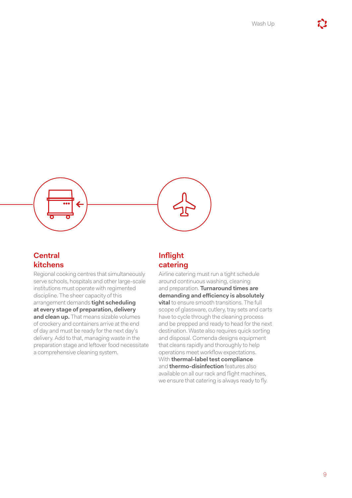

#### **Central kitchens**

Regional cooking centres that simultaneously serve schools, hospitals and other large-scale institutions must operate with regimented discipline. The sheer capacity of this arrangement demands **tight scheduling at every stage of preparation, delivery and clean up.** That means sizable volumes of crockery and containers arrive at the end of day and must be ready for the next day's delivery. Add to that, managing waste in the preparation stage and leftover food necessitate a comprehensive cleaning system.

#### **Inflight catering**

Airline catering must run a tight schedule around continuous washing, cleaning and preparation. **Turnaround times are demanding and efficiency is absolutely vital** to ensure smooth transitions. The full scope of glassware, cutlery, tray sets and carts have to cycle through the cleaning process and be prepped and ready to head for the next destination. Waste also requires quick sorting and disposal. Comenda designs equipment that cleans rapidly and thoroughly to help operations meet workflow expectations. With **thermal-label test compliance** and **thermo-disinfection** features also available on all our rack and flight machines, we ensure that catering is always ready to fly.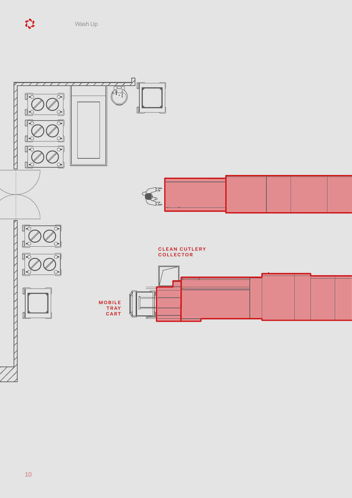$\ddot{\mathbf{C}}$ 

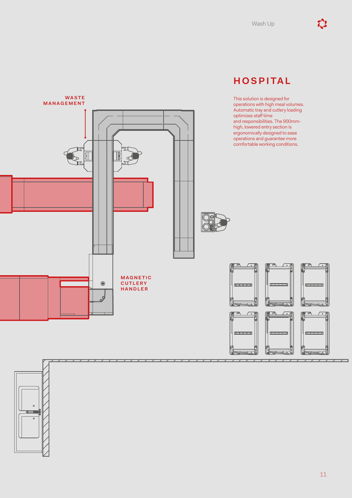2







 $\overline{\phantom{0}}$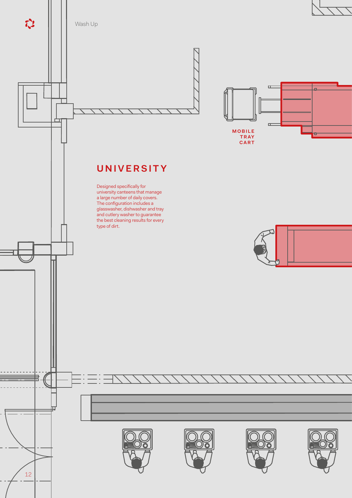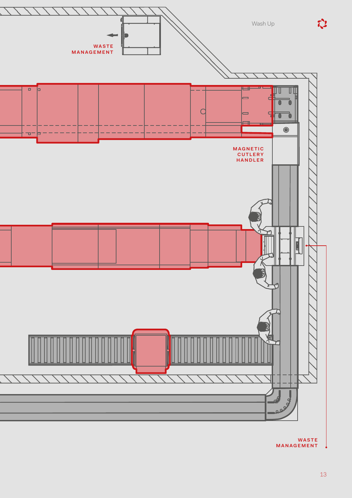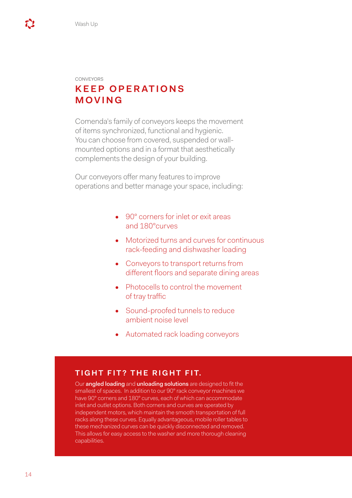# **K E E P O P E R AT I O N S MOVING**

Comenda's family of conveyors keeps the movement of items synchronized, functional and hygienic. You can choose from covered, suspended or wallmounted options and in a format that aesthetically complements the design of your building.

Our conveyors offer many features to improve operations and better manage your space, including:

- 90° corners for inlet or exit areas and 180°curves
- Motorized turns and curves for continuous rack-feeding and dishwasher loading
- Conveyors to transport returns from different floors and separate dining areas
- Photocells to control the movement of tray traffic
- Sound-proofed tunnels to reduce ambient noise level
- Automated rack loading conveyors

#### **TIGHT FIT? THE RIGHT FIT.**

Our angled loading and unloading solutions are designed to fit the smallest of spaces. In addition to our 90° rack conveyor machines we have 90° corners and 180° curves, each of which can accommodate inlet and outlet options. Both corners and curves are operated by independent motors, which maintain the smooth transportation of full racks along these curves. Equally advantageous, mobile roller tables to these mechanized curves can be quickly disconnected and removed. This allows for easy access to the washer and more thorough cleaning capabilities.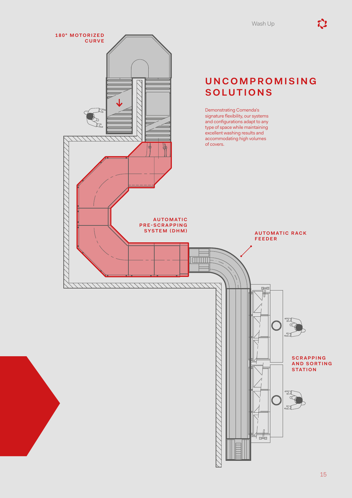$\mathbf{C}$ 

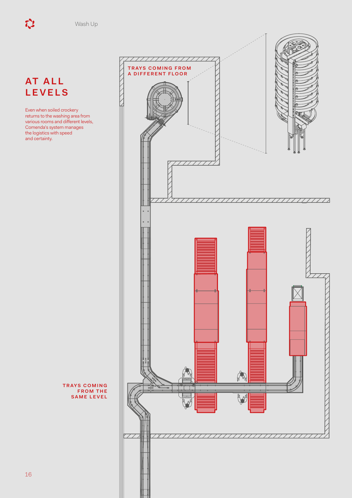# **AT A L L LEVELS**

 $\mathbf{C}$ 

Even when soiled crockery returns to the washing area from various rooms and different levels, Comenda's system manages the logistics with speed and certainty.



**TRAYS COMING FROM THE SAME LEVEL**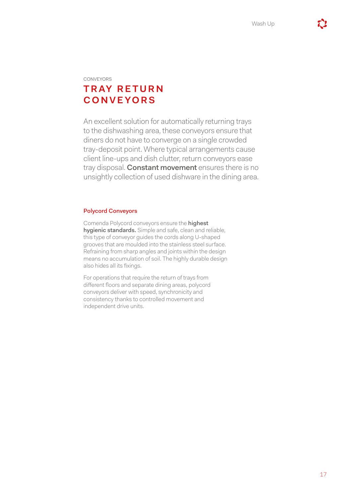### CONVEYORS **T R AY R E T U R N CONVEYORS**

An excellent solution for automatically returning trays to the dishwashing area, these conveyors ensure that diners do not have to converge on a single crowded tray-deposit point. Where typical arrangements cause client line-ups and dish clutter, return conveyors ease tray disposal. Constant movement ensures there is no unsightly collection of used dishware in the dining area.

#### Polycord Conveyors

Comenda Polycord conveyors ensure the highest hygienic standards. Simple and safe, clean and reliable, this type of conveyor guides the cords along U-shaped grooves that are moulded into the stainless steel surface. Refraining from sharp angles and joints within the design means no accumulation of soil. The highly durable design also hides all its fixings.

For operations that require the return of trays from different floors and separate dining areas, polycord conveyors deliver with speed, synchronicity and consistency thanks to controlled movement and independent drive units.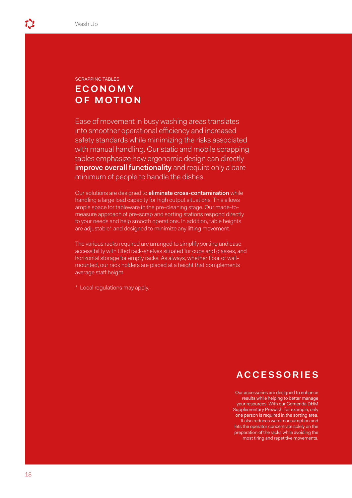#### SCRAPPING TABLES **E C O N O M Y OF MOTION**

Ease of movement in busy washing areas translates into smoother operational efficiency and increased safety standards while minimizing the risks associated with manual handling. Our static and mobile scrapping tables emphasize how ergonomic design can directly improve overall functionality and require only a bare minimum of people to handle the dishes.

Our solutions are designed to *eliminate cross-contamination* while handling a large load capacity for high output situations. This allows ample space for tableware in the pre-cleaning stage. Our made-tomeasure approach of pre-scrap and sorting stations respond directly to your needs and help smooth operations. In addition, table heights are adjustable\* and designed to minimize any lifting movement.

The various racks required are arranged to simplify sorting and ease accessibility with tilted rack-shelves situated for cups and glasses, and horizontal storage for empty racks. As always, whether floor or wallmounted, our rack holders are placed at a height that complements average staff height.

\* Local regulations may apply.

### **ACCESSORIES**

Our accessories are designed to enhance results while helping to better manage your resources. With our Comenda DHM Supplementary Prewash, for example, only one person is required in the sorting area. It also reduces water consumption and lets the operator concentrate solely on the preparation of the racks while avoiding the most tiring and repetitive movements.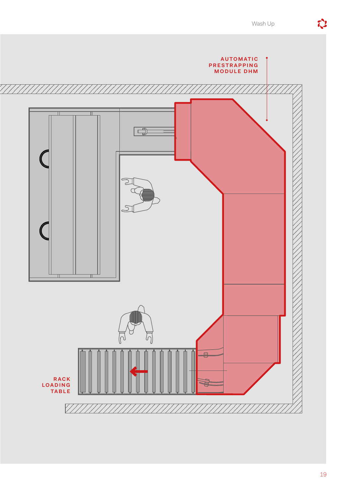ं

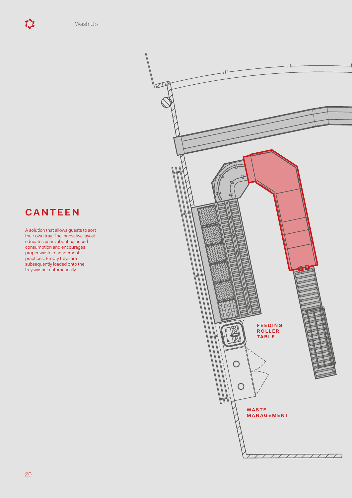$\mathbb{C}$ 

# **CANTEEN**

A solution that allows guests to sort their own tray. The innovative layout educates users about balanced consumption and encourages proper waste management practices. Empty trays are subsequently loaded onto the tray washer automatically.

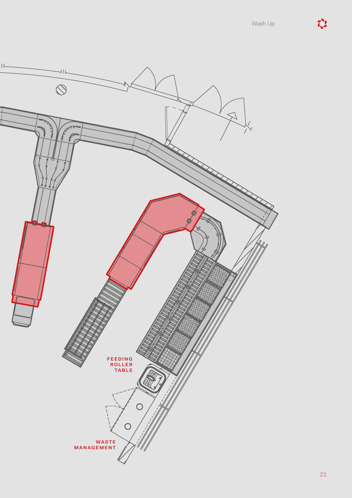ं



21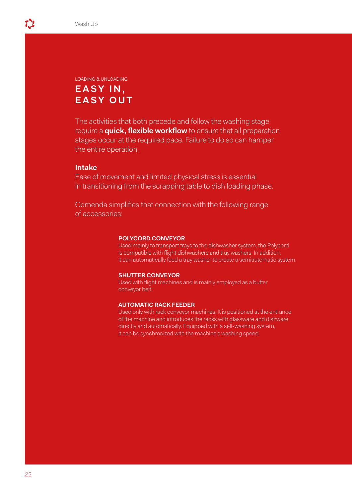#### LOADING & UNLOADING **EASY IN, EASY OUT**

The activities that both precede and follow the washing stage require a **quick, flexible workflow** to ensure that all preparation stages occur at the required pace. Failure to do so can hamper the entire operation.

#### **Intake**

Ease of movement and limited physical stress is essential in transitioning from the scrapping table to dish loading phase.

Comenda simplifies that connection with the following range of accessories:

#### **POLYCORD CONVEYOR**

Used mainly to transport trays to the dishwasher system, the Polycord is compatible with flight dishwashers and tray washers. In addition, it can automatically feed a tray washer to create a semiautomatic system.

#### **SHUTTER CONVEYOR**

Used with flight machines and is mainly employed as a buffer conveyor belt.

#### **AUTOMATIC RACK FEEDER**

Used only with rack conveyor machines. It is positioned at the entrance of the machine and introduces the racks with glassware and dishware directly and automatically. Equipped with a self-washing system, it can be synchronized with the machine's washing speed.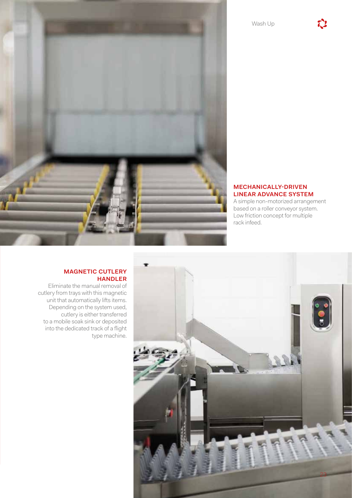



 $\mathbf C$ 

#### **MECHANICALLY-DRIVEN LINEAR ADVANCE SYSTEM**

A simple non-motorized arrangement based on a roller conveyor system. Low friction concept for multiple rack infeed.

#### **MAGNETIC CUTLERY HANDLER**

Eliminate the manual removal of cutlery from trays with this magnetic unit that automatically lifts items. Depending on the system used, cutlery is either transferred to a mobile soak sink or deposited into the dedicated track of a flight type machine.

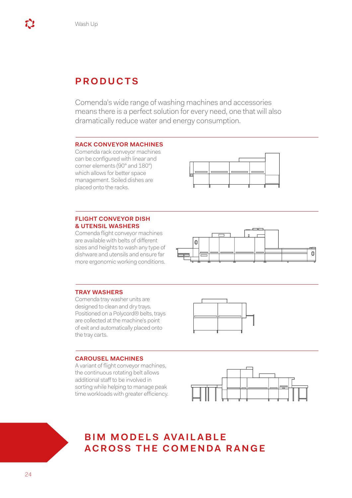# **PRODUCTS**

Comenda's wide range of washing machines and accessories means there is a perfect solution for every need, one that will also dramatically reduce water and energy consumption.

#### **RACK CONVEYOR MACHINES**

Comenda rack conveyor machines can be configured with linear and corner elements (90° and 180°) which allows for better space management. Soiled dishes are placed onto the racks.



#### **FLIGHT CONVEYOR DISH & UTENSIL WASHERS**

Comenda flight conveyor machines are available with belts of different sizes and heights to wash any type of dishware and utensils and ensure far more ergonomic working conditions.



#### **TRAY WASHERS**

Comenda tray washer units are designed to clean and dry trays. Positioned on a Polycord® belts, trays are collected at the machine's point of exit and automatically placed onto the tray carts.



#### **CAROUSEL MACHINES**

A variant of flight conveyor machines, the continuous rotating belt allows additional staff to be involved in sorting while helping to manage peak time workloads with greater efficiency.



# **BIM MODELS AVAILABLE ACROSS THE COMENDA RANGE**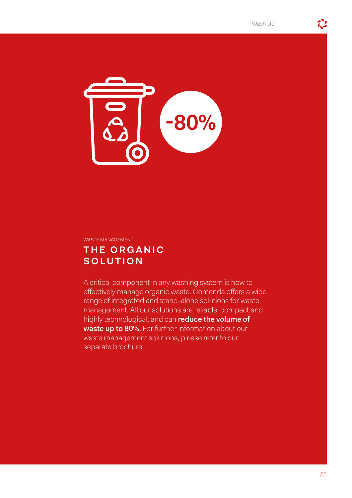2



#### WASTE MANAGEMENT **THE ORGANIC SOLUTION**

A critical component in any washing system is how to effectively manage organic waste. Comenda offers a wide range of integrated and stand-alone solutions for waste management. All our solutions are reliable, compact and highly technological, and can reduce the volume of waste up to 80%. For further information about our waste management solutions, please refer to our separate brochure.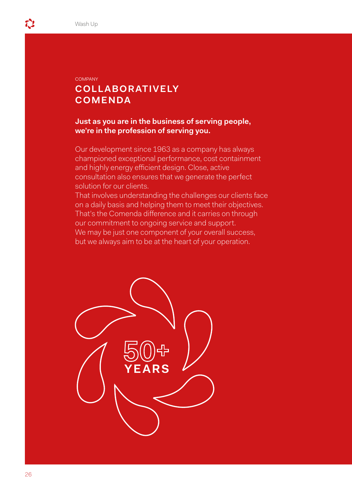$\mathbf{C}$ 

**COMPANY** 

# **COLL ABORATIVELY COMENDA**

#### **Just as you are in the business of serving people, we're in the profession of serving you.**

Our development since 1963 as a company has always championed exceptional performance, cost containment and highly energy efficient design. Close, active consultation also ensures that we generate the perfect solution for our clients.

That involves understanding the challenges our clients face on a daily basis and helping them to meet their objectives. That's the Comenda difference and it carries on through our commitment to ongoing service and support. We may be just one component of your overall success, but we always aim to be at the heart of your operation.

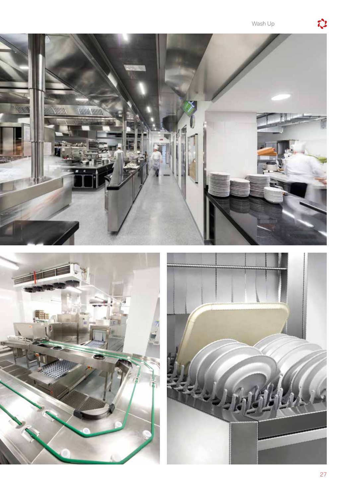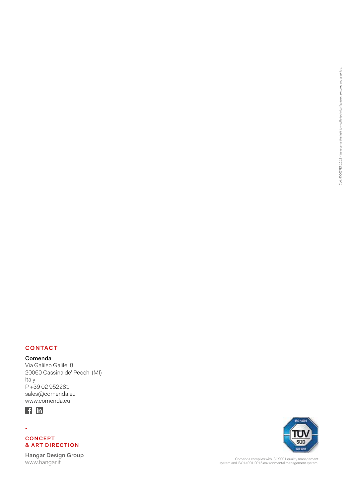#### **CONTACT**

#### Comenda

Via Galileo Galilei 8 20060 Cassina de' Pecchi (MI) Italy P +39 02 952281 sales@comenda.eu www.comenda.eu



**-**

#### **CONCEPT & ART DIRECTION**

Hangar Design Group<br>www.hangar.it



www.hangar.it Comenda complies with ISO9001 quality management<br>System and ISO14001:2015 environmental management system.